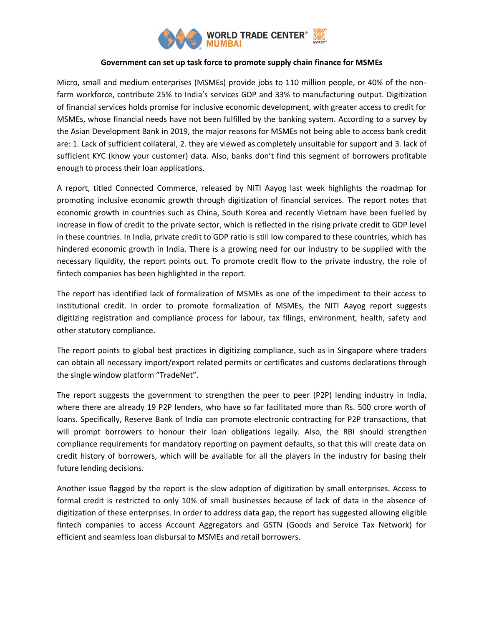

## **Government can set up task force to promote supply chain finance for MSMEs**

Micro, small and medium enterprises (MSMEs) provide jobs to 110 million people, or 40% of the nonfarm workforce, contribute 25% to India's services GDP and 33% to manufacturing output. Digitization of financial services holds promise for inclusive economic development, with greater access to credit for MSMEs, whose financial needs have not been fulfilled by the banking system. According to a survey by the Asian Development Bank in 2019, the major reasons for MSMEs not being able to access bank credit are: 1. Lack of sufficient collateral, 2. they are viewed as completely unsuitable for support and 3. lack of sufficient KYC (know your customer) data. Also, banks don't find this segment of borrowers profitable enough to process their loan applications.

A report, titled Connected Commerce, released by NITI Aayog last week highlights the roadmap for promoting inclusive economic growth through digitization of financial services. The report notes that economic growth in countries such as China, South Korea and recently Vietnam have been fuelled by increase in flow of credit to the private sector, which is reflected in the rising private credit to GDP level in these countries. In India, private credit to GDP ratio is still low compared to these countries, which has hindered economic growth in India. There is a growing need for our industry to be supplied with the necessary liquidity, the report points out. To promote credit flow to the private industry, the role of fintech companies has been highlighted in the report.

The report has identified lack of formalization of MSMEs as one of the impediment to their access to institutional credit. In order to promote formalization of MSMEs, the NITI Aayog report suggests digitizing registration and compliance process for labour, tax filings, environment, health, safety and other statutory compliance.

The report points to global best practices in digitizing compliance, such as in Singapore where traders can obtain all necessary import/export related permits or certificates and customs declarations through the single window platform "TradeNet".

The report suggests the government to strengthen the peer to peer (P2P) lending industry in India, where there are already 19 P2P lenders, who have so far facilitated more than Rs. 500 crore worth of loans. Specifically, Reserve Bank of India can promote electronic contracting for P2P transactions, that will prompt borrowers to honour their loan obligations legally. Also, the RBI should strengthen compliance requirements for mandatory reporting on payment defaults, so that this will create data on credit history of borrowers, which will be available for all the players in the industry for basing their future lending decisions.

Another issue flagged by the report is the slow adoption of digitization by small enterprises. Access to formal credit is restricted to only 10% of small businesses because of lack of data in the absence of digitization of these enterprises. In order to address data gap, the report has suggested allowing eligible fintech companies to access Account Aggregators and GSTN (Goods and Service Tax Network) for efficient and seamless loan disbursal to MSMEs and retail borrowers.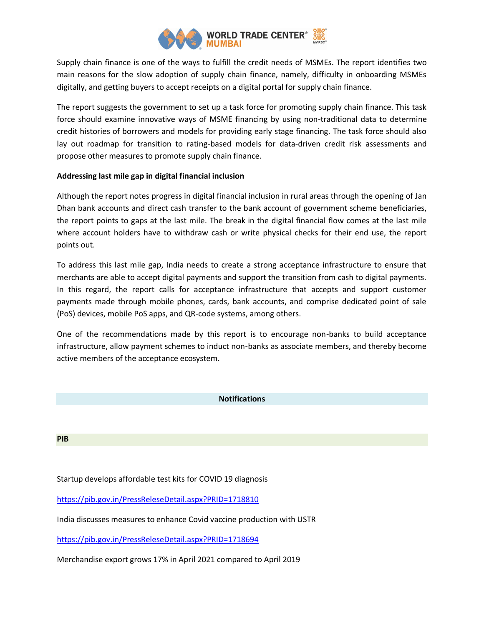

Supply chain finance is one of the ways to fulfill the credit needs of MSMEs. The report identifies two main reasons for the slow adoption of supply chain finance, namely, difficulty in onboarding MSMEs digitally, and getting buyers to accept receipts on a digital portal for supply chain finance.

The report suggests the government to set up a task force for promoting supply chain finance. This task force should examine innovative ways of MSME financing by using non-traditional data to determine credit histories of borrowers and models for providing early stage financing. The task force should also lay out roadmap for transition to rating-based models for data-driven credit risk assessments and propose other measures to promote supply chain finance.

## **Addressing last mile gap in digital financial inclusion**

Although the report notes progress in digital financial inclusion in rural areas through the opening of Jan Dhan bank accounts and direct cash transfer to the bank account of government scheme beneficiaries, the report points to gaps at the last mile. The break in the digital financial flow comes at the last mile where account holders have to withdraw cash or write physical checks for their end use, the report points out.

To address this last mile gap, India needs to create a strong acceptance infrastructure to ensure that merchants are able to accept digital payments and support the transition from cash to digital payments. In this regard, the report calls for acceptance infrastructure that accepts and support customer payments made through mobile phones, cards, bank accounts, and comprise dedicated point of sale (PoS) devices, mobile PoS apps, and QR-code systems, among others.

One of the recommendations made by this report is to encourage non-banks to build acceptance infrastructure, allow payment schemes to induct non-banks as associate members, and thereby become active members of the acceptance ecosystem.

## **Notifications**

**PIB**

Startup develops affordable test kits for COVID 19 diagnosis

[https://pib.gov.in/PressReleseDetail.aspx?PRID=1718810](https://pib.gov.in/PressReleseDetail.aspx?PRID=1718810/)

India discusses measures to enhance Covid vaccine production with USTR

<https://pib.gov.in/PressReleseDetail.aspx?PRID=1718694>

Merchandise export grows 17% in April 2021 compared to April 2019